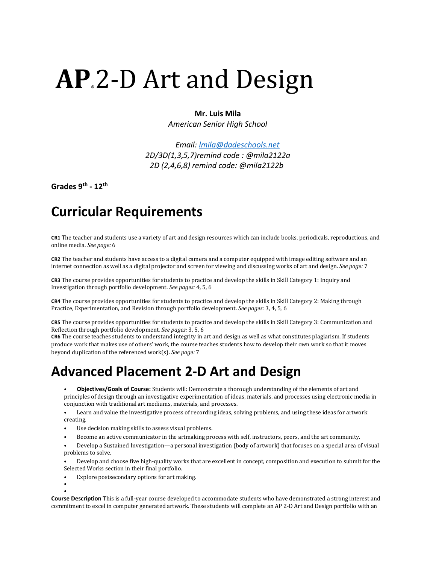# **AP.2-D Art and Design**

### **Mr. Luis Mila**

*American Senior High School*

 *Email: [lmila@dadeschools.net](mailto:lmila@dadeschools.net) 2D/3D(1,3,5,7)remind code : @mila2122a 2D (2,4,6,8) remind code: @mila2122b*

**Grades 9th - 12th**

## **Curricular Requirements**

**CR1** The teacher and students use a variety of art and design resources which can include books, periodicals, reproductions, and online media. *See page:* 6

**CR2** The teacher and students have access to a digital camera and a computer equipped with image editing software and an internet connection as well as a digital projector and screen for viewing and discussing works of art and design. *See page:* 7

**CR3** The course provides opportunities for students to practice and develop the skills in Skill Category 1: Inquiry and Investigation through portfolio development. *See pages:* 4, 5, 6

**CR4** The course provides opportunities for students to practice and develop the skills in Skill Category 2: Making through Practice, Experimentation, and Revision through portfolio development. *See pages:* 3, 4, 5, 6

**CR5** The course provides opportunities for students to practice and develop the skills in Skill Category 3: Communication and Reflection through portfolio development. *See pages:* 3, 5, 6

**CR6** The course teaches students to understand integrity in art and design as well as what constitutes plagiarism. If students produce work that makes use of others' work, the course teaches students how to develop their own work so that it moves beyond duplication of the referenced work(s). *See page:* 7

### **Advanced Placement 2-D Art and Design**

• **Objectives/Goals of Course:** Students will: Demonstrate a thorough understanding of the elements of art and principles of design through an investigative experimentation of ideas, materials, and processes using electronic media in conjunction with traditional art mediums, materials, and processes.

• Learn and value the investigative process of recording ideas, solving problems, and using these ideas for artwork creating.

- Use decision making skills to assess visual problems.
- Become an active communicator in the artmaking process with self, instructors, peers, and the art community.
- Develop a Sustained Investigation—a personal investigation (body of artwork) that focuses on a special area of visual problems to solve.

• Develop and choose five high-quality works that are excellent in concept, composition and execution to submit for the Selected Works section in their final portfolio.

• Explore postsecondary options for art making.

• •

**Course Description** This is a full-year course developed to accommodate students who have demonstrated a strong interest and commitment to excel in computer generated artwork. These students will complete an AP 2-D Art and Design portfolio with an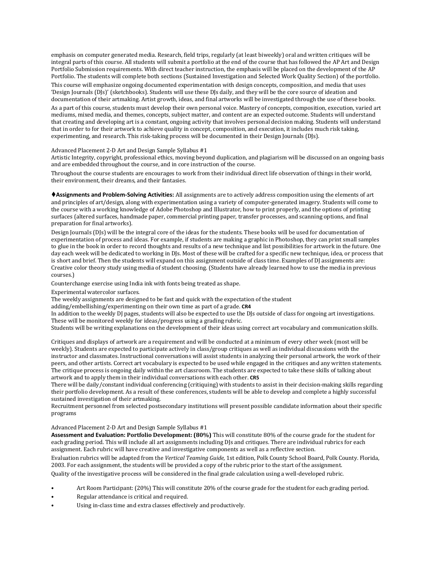emphasis on computer generated media. Research, field trips, regularly (at least biweekly) oral and written critiques will be integral parts of this course. All students will submit a portfolio at the end of the course that has followed the AP Art and Design Portfolio Submission requirements. With direct teacher instruction, the emphasis will be placed on the development of the AP Portfolio. The students will complete both sections (Sustained Investigation and Selected Work Quality Section) of the portfolio.

This course will emphasize ongoing documented experimentation with design concepts, composition, and media that uses 'Design Journals (DJs)' (sketchbooks). Students will use these DJs daily, and they will be the core source of ideation and documentation of their artmaking. Artist growth, ideas, and final artworks will be investigated through the use of these books.

As a part of this course, students must develop their own personal voice. Mastery of concepts, composition, execution, varied art mediums, mixed media, and themes, concepts, subject matter, and content are an expected outcome. Students will understand that creating and developing art is a constant, ongoing activity that involves personal decision making. Students will understand that in order to for their artwork to achieve quality in concept, composition, and execution, it includes much risk taking, experimenting, and research. This risk-taking process will be documented in their Design Journals (DJs).

### Advanced Placement 2-D Art and Design Sample Syllabus #1

Artistic Integrity, copyright, professional ethics, moving beyond duplication, and plagiarism will be discussed on an ongoing basis and are embedded throughout the course, and in core instruction of the course.

Throughout the course students are encourages to work from their individual direct life observation of things in their world, their environment, their dreams, and their fantasies.

**Assignments and Problem-Solving Activities:** All assignments are to actively address composition using the elements of art and principles of art/design, along with experimentation using a variety of computer-generated imagery. Students will come to the course with a working knowledge of Adobe Photoshop and Illustrator, how to print properly, and the options of printing surfaces (altered surfaces, handmade paper, commercial printing paper, transfer processes, and scanning options, and final preparation for final artworks).

Design Journals (DJs) will be the integral core of the ideas for the students. These books will be used for documentation of experimentation of process and ideas. For example, if students are making a graphic in Photoshop, they can print small samples to glue in the book in order to record thoughts and results of a new technique and list possibilities for artwork in the future. One day each week will be dedicated to working in DJs. Most of these will be crafted for a specific new technique, idea, or process that is short and brief. Then the students will expand on this assignment outside of class time. Examples of DJ assignments are: Creative color theory study using media of student choosing. (Students have already learned how to use the media in previous courses.)

Counterchange exercise using India ink with fonts being treated as shape.

Experimental watercolor surfaces.

The weekly assignments are designed to be fast and quick with the expectation of the student

adding/embellishing/experimenting on their own time as part of a grade. **CR4** 

In addition to the weekly DJ pages, students will also be expected to use the DJs outside of class for ongoing art investigations. These will be monitored weekly for ideas/progress using a grading rubric.

Students will be writing explanations on the development of their ideas using correct art vocabulary and communication skills.

Critiques and displays of artwork are a requirement and will be conducted at a minimum of every other week (most will be weekly). Students are expected to participate actively in class/group critiques as well as individual discussions with the instructor and classmates. Instructional conversations will assist students in analyzing their personal artwork, the work of their peers, and other artists. Correct art vocabulary is expected to be used while engaged in the critiques and any written statements. The critique process is ongoing daily within the art classroom. The students are expected to take these skills of talking about artwork and to apply them in their individual conversations with each other. **CR5** 

There will be daily/constant individual conferencing (critiquing) with students to assist in their decision-making skills regarding their portfolio development. As a result of these conferences, students will be able to develop and complete a highly successful sustained investigation of their artmaking.

Recruitment personnel from selected postsecondary institutions will present possible candidate information about their specific programs

#### Advanced Placement 2-D Art and Design Sample Syllabus #1

**Assessment and Evaluation: Portfolio Development: (80%)** This will constitute 80% of the course grade for the student for each grading period. This will include all art assignments including DJs and critiques. There are individual rubrics for each assignment. Each rubric will have creative and investigative components as well as a reflective section.

Evaluation rubrics will be adapted from the *Vertical Teaming Guide,* 1st edition, Polk County School Board, Polk County. Florida, 2003. For each assignment, the students will be provided a copy of the rubric prior to the start of the assignment.

Quality of the investigative process will be considered in the final grade calculation using a well-developed rubric.

- Art Room Participant: (20%) This will constitute 20% of the course grade for the student for each grading period.
- Regular attendance is critical and required.
- Using in-class time and extra classes effectively and productively.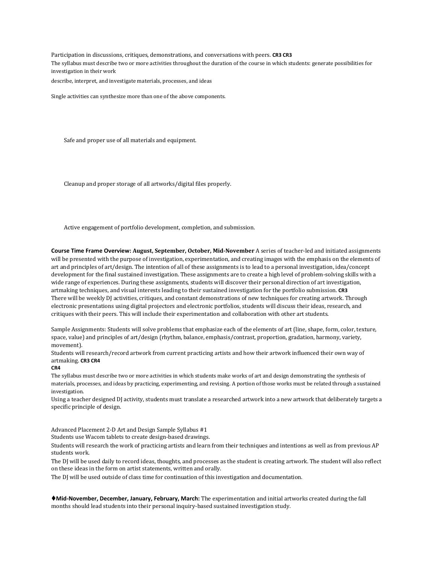Participation in discussions, critiques, demonstrations, and conversations with peers. **CR3 CR3**  The syllabus must describe two or more activities throughout the duration of the course in which students: generate possibilities for investigation in their work describe, interpret, and investigate materials, processes, and ideas

Single activities can synthesize more than one of the above components.

Safe and proper use of all materials and equipment.

Cleanup and proper storage of all artworks/digital files properly.

Active engagement of portfolio development, completion, and submission.

**Course Time Frame Overview: August, September, October, Mid-November** A series of teacher-led and initiated assignments will be presented with the purpose of investigation, experimentation, and creating images with the emphasis on the elements of art and principles of art/design. The intention of all of these assignments is to lead to a personal investigation, idea/concept development for the final sustained investigation. These assignments are to create a high level of problem-solving skills with a wide range of experiences. During these assignments, students will discover their personal direction of art investigation, artmaking techniques, and visual interests leading to their sustained investigation for the portfolio submission. **CR3**  There will be weekly DJ activities, critiques, and constant demonstrations of new techniques for creating artwork. Through electronic presentations using digital projectors and electronic portfolios, students will discuss their ideas, research, and critiques with their peers. This will include their experimentation and collaboration with other art students.

Sample Assignments: Students will solve problems that emphasize each of the elements of art (line, shape, form, color, texture, space, value) and principles of art/design (rhythm, balance, emphasis/contrast, proportion, gradation, harmony, variety, movement).

Students will research/record artwork from current practicing artists and how their artwork influenced their own way of artmaking. **CR3 CR4** 

#### **CR4**

The syllabus must describe two or more activities in which students make works of art and design demonstrating the synthesis of materials, processes, and ideas by practicing, experimenting, and revising. A portion of those works must be related through a sustained investigation.

Using a teacher designed DJ activity, students must translate a researched artwork into a new artwork that deliberately targets a specific principle of design.

Advanced Placement 2-D Art and Design Sample Syllabus #1

Students use Wacom tablets to create design-based drawings.

Students will research the work of practicing artists and learn from their techniques and intentions as well as from previous AP students work.

The DJ will be used daily to record ideas, thoughts, and processes as the student is creating artwork. The student will also reflect on these ideas in the form on artist statements, written and orally.

The DJ will be used outside of class time for continuation of this investigation and documentation.

**Mid-November, December, January, February, March:** The experimentation and initial artworks created during the fall months should lead students into their personal inquiry-based sustained investigation study.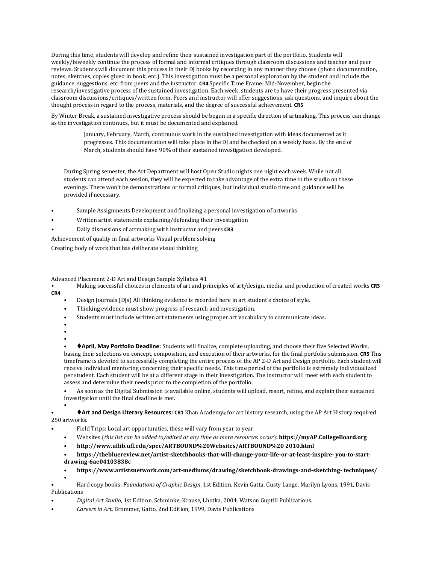During this time, students will develop and refine their sustained investigation part of the portfolio. Students will weekly/biweekly continue the process of formal and informal critiques through classroom discussions and teacher and peer reviews. Students will document this process in their DJ books by recording in any manner they choose (photo documentation, notes, sketches, copies glued in book, etc.). This investigation must be a personal exploration by the student and include the guidance, suggestions, etc. from peers and the instructor. **CR4** Specific Time Frame: Mid-November, begin the research/investigative process of the sustained investigation. Each week, students are to have their progress presented via classroom discussions/critiques/written form. Peers and instructor will offer suggestions, ask questions, and inquire about the thought process in regard to the process, materials, and the degree of successful achievement. **CR5** 

By Winter Break, a sustained investigative process should be begun in a specific direction of artmaking. This process can change as the investigation continues, but it must be documented and explained.

January, February, March, continuous work in the sustained investigation with ideas documented as it progresses. This documentation will take place in the DJ and be checked on a weekly basis. By the end of March, students should have 90% of their sustained investigation developed.

During Spring semester, the Art Department will host Open Studio nights one night each week. While not all students can attend each session, they will be expected to take advantage of the extra time in the studio on these evenings. There won't be demonstrations or formal critiques, but individual studio time and guidance will be provided if necessary.

- Sample Assignments Development and finalizing a personal investigation of artworks
- Written artist statements explaining/defending their investigation
- Daily discussions of artmaking with instructor and peers **CR3**

Achievement of quality in final artworks Visual problem solving

Creating body of work that has deliberate visual thinking

Advanced Placement 2-D Art and Design Sample Syllabus #1

- Making successful choices in elements of art and principles of art/design, media, and production of created works **CR3 CR4** 
	- Design Journals (DJs) All thinking evidence is recorded here in art student's choice of style.
	- Thinking evidence must show progress of research and investigation.
	- Students must include written art statements using proper art vocabulary to communicate ideas.
	- •
	- •

• • **April, May Portfolio Deadline:** Students will finalize, complete uploading, and choose their five Selected Works, basing their selections on concept, composition, and execution of their artworks, for the final portfolio submission. **CR5** This timeframe is devoted to successfully completing the entire process of the AP 2-D Art and Design portfolio. Each student will receive individual mentoring concerning their specific needs. This time period of the portfolio is extremely individualized per student. Each student will be at a different stage in their investigation. The instructor will meet with each student to assess and determine their needs prior to the completion of the portfolio.

• As soon as the Digital Submission is available online, students will upload, resort, refine, and explain their sustained investigation until the final deadline is met.

• • **Art and Design Literary Resources: CR1** Khan Academy® for art history research, using the AP Art History required 250 artworks.

- Field Trips: Local art opportunities, these will vary from year to year.
- Websites (*this list can be added to/edited at any time as more resources occur*): **https://myAP.CollegeBoard.org**
- **http://www.uflib.ufl.edu/spec/ARTBOUND%20Websites/ARTBOUND%20 2010.html**
- **https://thebluereview.net/artist-sketchbooks-that-will-change-your-life-or-at-least-inspire- you-to-startdrawing-6ae04103838c**
- **https://www.artistsnetwork.com/art-mediums/drawing/sketchbook-drawings-and-sketching- techniques/**

• • Hard copy books: *Foundations of Graphic Design*, 1st Edition, Kevin Gatta, Gusty Lange, Marilyn Lyons, 1991, Davis Publications

- *Digital Art Studio*, 1st Edition, Schminke, Krause, Lhotka, 2004, Watson Guptill Publications.
- *Careers in Art*, Brommer, Gatto, 2nd Edition, 1999, Davis Publications